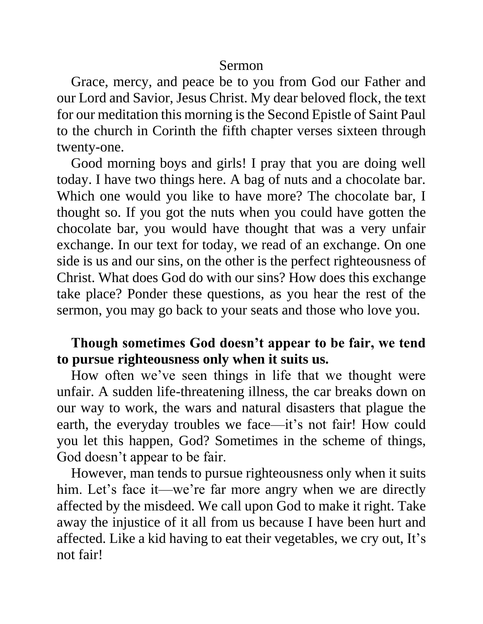#### Sermon

Grace, mercy, and peace be to you from God our Father and our Lord and Savior, Jesus Christ. My dear beloved flock, the text for our meditation this morning is the Second Epistle of Saint Paul to the church in Corinth the fifth chapter verses sixteen through twenty-one.

Good morning boys and girls! I pray that you are doing well today. I have two things here. A bag of nuts and a chocolate bar. Which one would you like to have more? The chocolate bar, I thought so. If you got the nuts when you could have gotten the chocolate bar, you would have thought that was a very unfair exchange. In our text for today, we read of an exchange. On one side is us and our sins, on the other is the perfect righteousness of Christ. What does God do with our sins? How does this exchange take place? Ponder these questions, as you hear the rest of the sermon, you may go back to your seats and those who love you.

# **Though sometimes God doesn't appear to be fair, we tend to pursue righteousness only when it suits us.**

How often we've seen things in life that we thought were unfair. A sudden life-threatening illness, the car breaks down on our way to work, the wars and natural disasters that plague the earth, the everyday troubles we face—it's not fair! How could you let this happen, God? Sometimes in the scheme of things, God doesn't appear to be fair.

However, man tends to pursue righteousness only when it suits him. Let's face it—we're far more angry when we are directly affected by the misdeed. We call upon God to make it right. Take away the injustice of it all from us because I have been hurt and affected. Like a kid having to eat their vegetables, we cry out, It's not fair!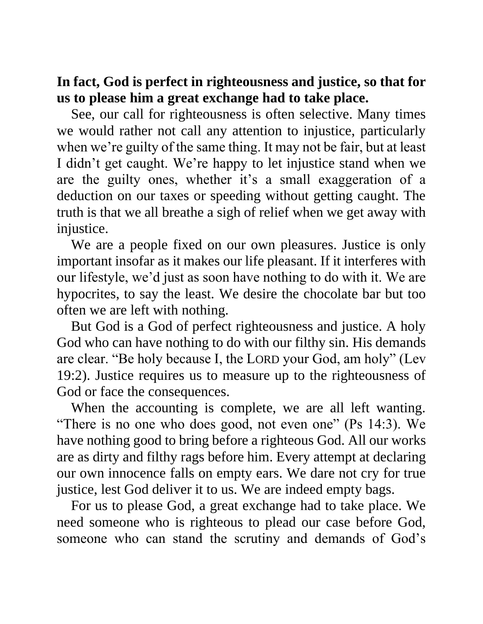**In fact, God is perfect in righteousness and justice, so that for us to please him a great exchange had to take place.**

See, our call for righteousness is often selective. Many times we would rather not call any attention to injustice, particularly when we're guilty of the same thing. It may not be fair, but at least I didn't get caught. We're happy to let injustice stand when we are the guilty ones, whether it's a small exaggeration of a deduction on our taxes or speeding without getting caught. The truth is that we all breathe a sigh of relief when we get away with injustice.

We are a people fixed on our own pleasures. Justice is only important insofar as it makes our life pleasant. If it interferes with our lifestyle, we'd just as soon have nothing to do with it. We are hypocrites, to say the least. We desire the chocolate bar but too often we are left with nothing.

But God is a God of perfect righteousness and justice. A holy God who can have nothing to do with our filthy sin. His demands are clear. "Be holy because I, the LORD your God, am holy" (Lev 19:2). Justice requires us to measure up to the righteousness of God or face the consequences.

When the accounting is complete, we are all left wanting. "There is no one who does good, not even one" (Ps 14:3). We have nothing good to bring before a righteous God. All our works are as dirty and filthy rags before him. Every attempt at declaring our own innocence falls on empty ears. We dare not cry for true justice, lest God deliver it to us. We are indeed empty bags.

For us to please God, a great exchange had to take place. We need someone who is righteous to plead our case before God, someone who can stand the scrutiny and demands of God's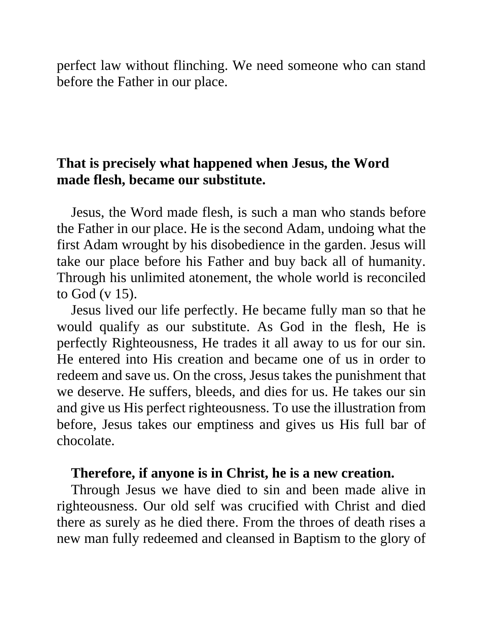perfect law without flinching. We need someone who can stand before the Father in our place.

## **That is precisely what happened when Jesus, the Word made flesh, became our substitute.**

Jesus, the Word made flesh, is such a man who stands before the Father in our place. He is the second Adam, undoing what the first Adam wrought by his disobedience in the garden. Jesus will take our place before his Father and buy back all of humanity. Through his unlimited atonement, the whole world is reconciled to God (v 15).

Jesus lived our life perfectly. He became fully man so that he would qualify as our substitute. As God in the flesh, He is perfectly Righteousness, He trades it all away to us for our sin. He entered into His creation and became one of us in order to redeem and save us. On the cross, Jesus takes the punishment that we deserve. He suffers, bleeds, and dies for us. He takes our sin and give us His perfect righteousness. To use the illustration from before, Jesus takes our emptiness and gives us His full bar of chocolate.

#### **Therefore, if anyone is in Christ, he is a new creation.**

Through Jesus we have died to sin and been made alive in righteousness. Our old self was crucified with Christ and died there as surely as he died there. From the throes of death rises a new man fully redeemed and cleansed in Baptism to the glory of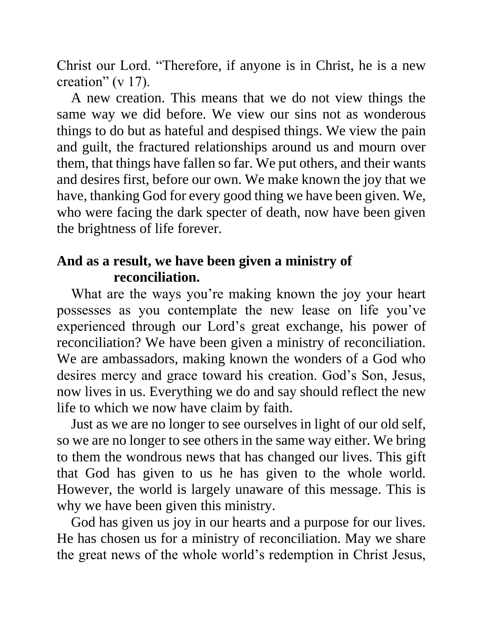Christ our Lord. "Therefore, if anyone is in Christ, he is a new creation" (v 17).

A new creation. This means that we do not view things the same way we did before. We view our sins not as wonderous things to do but as hateful and despised things. We view the pain and guilt, the fractured relationships around us and mourn over them, that things have fallen so far. We put others, and their wants and desires first, before our own. We make known the joy that we have, thanking God for every good thing we have been given. We, who were facing the dark specter of death, now have been given the brightness of life forever.

## **And as a result, we have been given a ministry of reconciliation.**

What are the ways you're making known the joy your heart possesses as you contemplate the new lease on life you've experienced through our Lord's great exchange, his power of reconciliation? We have been given a ministry of reconciliation. We are ambassadors, making known the wonders of a God who desires mercy and grace toward his creation. God's Son, Jesus, now lives in us. Everything we do and say should reflect the new life to which we now have claim by faith.

Just as we are no longer to see ourselves in light of our old self, so we are no longer to see others in the same way either. We bring to them the wondrous news that has changed our lives. This gift that God has given to us he has given to the whole world. However, the world is largely unaware of this message. This is why we have been given this ministry.

God has given us joy in our hearts and a purpose for our lives. He has chosen us for a ministry of reconciliation. May we share the great news of the whole world's redemption in Christ Jesus,